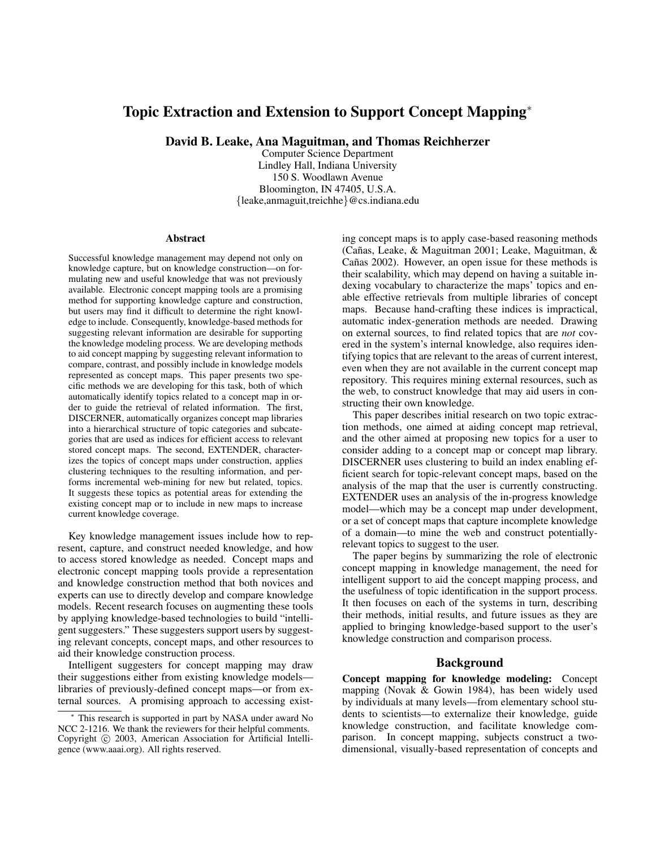# **Topic Extraction and Extension to Support Concept Mapping**<sup>∗</sup>

**David B. Leake, Ana Maguitman, and Thomas Reichherzer**

Computer Science Department Lindley Hall, Indiana University 150 S. Woodlawn Avenue Bloomington, IN 47405, U.S.A. {leake,anmaguit,treichhe}@cs.indiana.edu

#### **Abstract**

Successful knowledge management may depend not only on knowledge capture, but on knowledge construction—on formulating new and useful knowledge that was not previously available. Electronic concept mapping tools are a promising method for supporting knowledge capture and construction, but users may find it difficult to determine the right knowledge to include. Consequently, knowledge-based methods for suggesting relevant information are desirable for supporting the knowledge modeling process. We are developing methods to aid concept mapping by suggesting relevant information to compare, contrast, and possibly include in knowledge models represented as concept maps. This paper presents two specific methods we are developing for this task, both of which automatically identify topics related to a concept map in order to guide the retrieval of related information. The first, DISCERNER, automatically organizes concept map libraries into a hierarchical structure of topic categories and subcategories that are used as indices for efficient access to relevant stored concept maps. The second, EXTENDER, characterizes the topics of concept maps under construction, applies clustering techniques to the resulting information, and performs incremental web-mining for new but related, topics. It suggests these topics as potential areas for extending the existing concept map or to include in new maps to increase current knowledge coverage.

Key knowledge management issues include how to represent, capture, and construct needed knowledge, and how to access stored knowledge as needed. Concept maps and electronic concept mapping tools provide a representation and knowledge construction method that both novices and experts can use to directly develop and compare knowledge models. Recent research focuses on augmenting these tools by applying knowledge-based technologies to build "intelligent suggesters." These suggesters support users by suggesting relevant concepts, concept maps, and other resources to aid their knowledge construction process.

Intelligent suggesters for concept mapping may draw their suggestions either from existing knowledge models libraries of previously-defined concept maps—or from external sources. A promising approach to accessing existing concept maps is to apply case-based reasoning methods (Cañas, Leake, & Maguitman 2001; Leake, Maguitman, & Cañas 2002). However, an open issue for these methods is their scalability, which may depend on having a suitable indexing vocabulary to characterize the maps' topics and enable effective retrievals from multiple libraries of concept maps. Because hand-crafting these indices is impractical, automatic index-generation methods are needed. Drawing on external sources, to find related topics that are *not* covered in the system's internal knowledge, also requires identifying topics that are relevant to the areas of current interest, even when they are not available in the current concept map repository. This requires mining external resources, such as the web, to construct knowledge that may aid users in constructing their own knowledge.

This paper describes initial research on two topic extraction methods, one aimed at aiding concept map retrieval, and the other aimed at proposing new topics for a user to consider adding to a concept map or concept map library. DISCERNER uses clustering to build an index enabling efficient search for topic-relevant concept maps, based on the analysis of the map that the user is currently constructing. EXTENDER uses an analysis of the in-progress knowledge model—which may be a concept map under development, or a set of concept maps that capture incomplete knowledge of a domain—to mine the web and construct potentiallyrelevant topics to suggest to the user.

The paper begins by summarizing the role of electronic concept mapping in knowledge management, the need for intelligent support to aid the concept mapping process, and the usefulness of topic identification in the support process. It then focuses on each of the systems in turn, describing their methods, initial results, and future issues as they are applied to bringing knowledge-based support to the user's knowledge construction and comparison process.

#### **Background**

**Concept mapping for knowledge modeling:** Concept mapping (Novak & Gowin 1984), has been widely used by individuals at many levels—from elementary school students to scientists—to externalize their knowledge, guide knowledge construction, and facilitate knowledge comparison. In concept mapping, subjects construct a twodimensional, visually-based representation of concepts and

This research is supported in part by NASA under award No NCC 2-1216. We thank the reviewers for their helpful comments. Copyright (c) 2003, American Association for Artificial Intelligence (www.aaai.org). All rights reserved.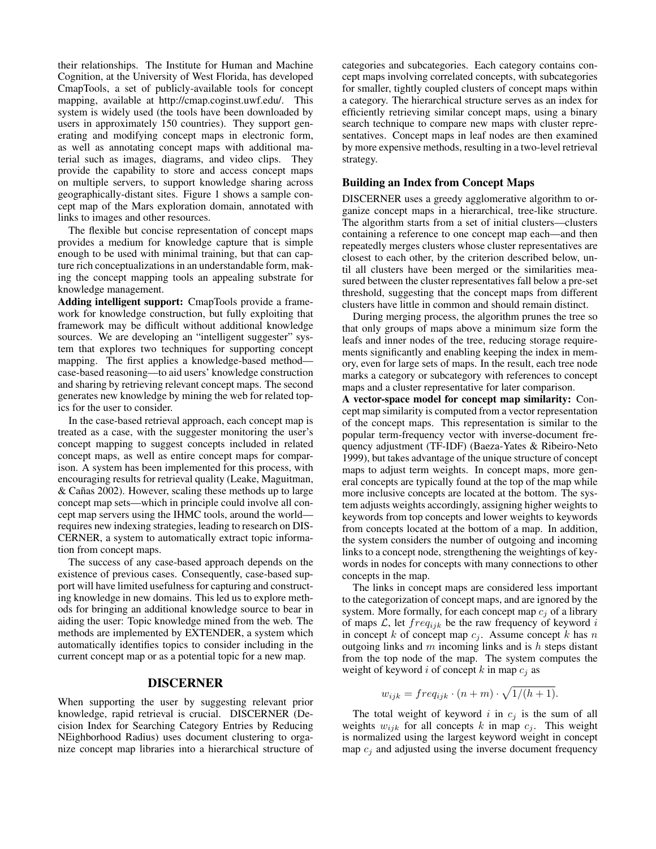their relationships. The Institute for Human and Machine Cognition, at the University of West Florida, has developed CmapTools, a set of publicly-available tools for concept mapping, available at http://cmap.coginst.uwf.edu/. This system is widely used (the tools have been downloaded by users in approximately 150 countries). They support generating and modifying concept maps in electronic form, as well as annotating concept maps with additional material such as images, diagrams, and video clips. They provide the capability to store and access concept maps on multiple servers, to support knowledge sharing across geographically-distant sites. Figure 1 shows a sample concept map of the Mars exploration domain, annotated with links to images and other resources.

The flexible but concise representation of concept maps provides a medium for knowledge capture that is simple enough to be used with minimal training, but that can capture rich conceptualizations in an understandable form, making the concept mapping tools an appealing substrate for knowledge management.

**Adding intelligent support:** CmapTools provide a framework for knowledge construction, but fully exploiting that framework may be difficult without additional knowledge sources. We are developing an "intelligent suggester" system that explores two techniques for supporting concept mapping. The first applies a knowledge-based method case-based reasoning—to aid users' knowledge construction and sharing by retrieving relevant concept maps. The second generates new knowledge by mining the web for related topics for the user to consider.

In the case-based retrieval approach, each concept map is treated as a case, with the suggester monitoring the user's concept mapping to suggest concepts included in related concept maps, as well as entire concept maps for comparison. A system has been implemented for this process, with encouraging results for retrieval quality (Leake, Maguitman,  $& Cañas 2002$ . However, scaling these methods up to large concept map sets—which in principle could involve all concept map servers using the IHMC tools, around the world requires new indexing strategies, leading to research on DIS-CERNER, a system to automatically extract topic information from concept maps.

The success of any case-based approach depends on the existence of previous cases. Consequently, case-based support will have limited usefulness for capturing and constructing knowledge in new domains. This led us to explore methods for bringing an additional knowledge source to bear in aiding the user: Topic knowledge mined from the web. The methods are implemented by EXTENDER, a system which automatically identifies topics to consider including in the current concept map or as a potential topic for a new map.

# **DISCERNER**

When supporting the user by suggesting relevant prior knowledge, rapid retrieval is crucial. DISCERNER (Decision Index for Searching Category Entries by Reducing NEighborhood Radius) uses document clustering to organize concept map libraries into a hierarchical structure of

categories and subcategories. Each category contains concept maps involving correlated concepts, with subcategories for smaller, tightly coupled clusters of concept maps within a category. The hierarchical structure serves as an index for efficiently retrieving similar concept maps, using a binary search technique to compare new maps with cluster representatives. Concept maps in leaf nodes are then examined by more expensive methods, resulting in a two-level retrieval strategy.

#### **Building an Index from Concept Maps**

DISCERNER uses a greedy agglomerative algorithm to organize concept maps in a hierarchical, tree-like structure. The algorithm starts from a set of initial clusters—clusters containing a reference to one concept map each—and then repeatedly merges clusters whose cluster representatives are closest to each other, by the criterion described below, until all clusters have been merged or the similarities measured between the cluster representatives fall below a pre-set threshold, suggesting that the concept maps from different clusters have little in common and should remain distinct.

During merging process, the algorithm prunes the tree so that only groups of maps above a minimum size form the leafs and inner nodes of the tree, reducing storage requirements significantly and enabling keeping the index in memory, even for large sets of maps. In the result, each tree node marks a category or subcategory with references to concept maps and a cluster representative for later comparison.

**A vector-space model for concept map similarity:** Concept map similarity is computed from a vector representation of the concept maps. This representation is similar to the popular term-frequency vector with inverse-document frequency adjustment (TF-IDF) (Baeza-Yates & Ribeiro-Neto 1999), but takes advantage of the unique structure of concept maps to adjust term weights. In concept maps, more general concepts are typically found at the top of the map while more inclusive concepts are located at the bottom. The system adjusts weights accordingly, assigning higher weights to keywords from top concepts and lower weights to keywords from concepts located at the bottom of a map. In addition, the system considers the number of outgoing and incoming links to a concept node, strengthening the weightings of keywords in nodes for concepts with many connections to other concepts in the map.

The links in concept maps are considered less important to the categorization of concept maps, and are ignored by the system. More formally, for each concept map  $c_j$  of a library of maps  $\mathcal{L}$ , let  $freq_{ijk}$  be the raw frequency of keyword i in concept k of concept map  $c_j$ . Assume concept k has n outgoing links and  $m$  incoming links and is  $h$  steps distant from the top node of the map. The system computes the weight of keyword i of concept k in map  $c_i$  as

$$
w_{ijk} = freq_{ijk} \cdot (n+m) \cdot \sqrt{1/(h+1)}.
$$

The total weight of keyword i in  $c_j$  is the sum of all weights  $w_{ijk}$  for all concepts k in map  $c_j$ . This weight is normalized using the largest keyword weight in concept map  $c_i$  and adjusted using the inverse document frequency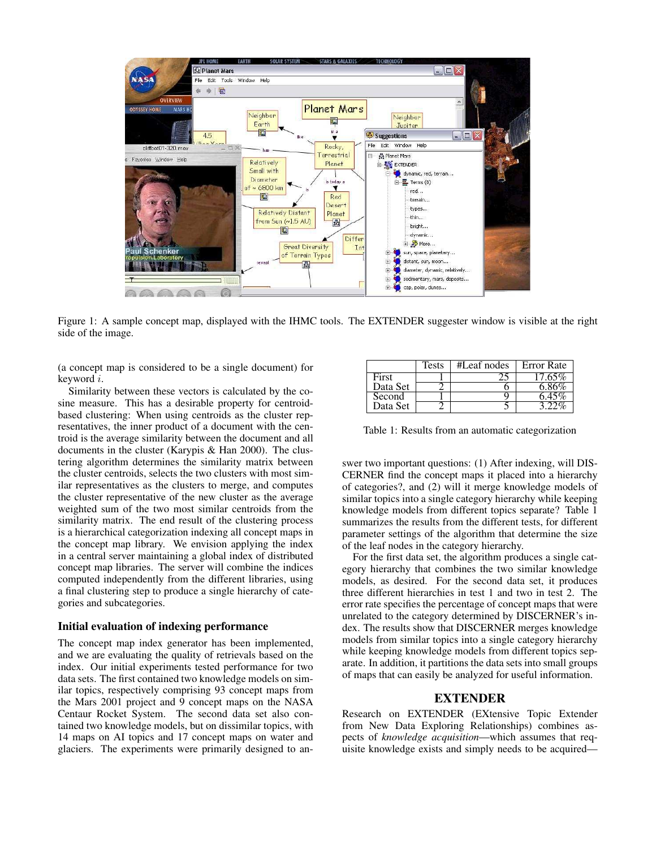

Figure 1: A sample concept map, displayed with the IHMC tools. The EXTENDER suggester window is visible at the right side of the image.

(a concept map is considered to be a single document) for keyword i.

Similarity between these vectors is calculated by the cosine measure. This has a desirable property for centroidbased clustering: When using centroids as the cluster representatives, the inner product of a document with the centroid is the average similarity between the document and all documents in the cluster (Karypis & Han 2000). The clustering algorithm determines the similarity matrix between the cluster centroids, selects the two clusters with most similar representatives as the clusters to merge, and computes the cluster representative of the new cluster as the average weighted sum of the two most similar centroids from the similarity matrix. The end result of the clustering process is a hierarchical categorization indexing all concept maps in the concept map library. We envision applying the index in a central server maintaining a global index of distributed concept map libraries. The server will combine the indices computed independently from the different libraries, using a final clustering step to produce a single hierarchy of categories and subcategories.

# **Initial evaluation of indexing performance**

The concept map index generator has been implemented, and we are evaluating the quality of retrievals based on the index. Our initial experiments tested performance for two data sets. The first contained two knowledge models on similar topics, respectively comprising 93 concept maps from the Mars 2001 project and 9 concept maps on the NASA Centaur Rocket System. The second data set also contained two knowledge models, but on dissimilar topics, with 14 maps on AI topics and 17 concept maps on water and glaciers. The experiments were primarily designed to an-

|          | Tests | #Leaf nodes | <b>Error</b> Rate |
|----------|-------|-------------|-------------------|
| First    |       |             | 17.65%            |
| Data Set |       |             | 6.86%             |
| Second   |       |             | 6 45%             |
| Data Set |       |             |                   |

Table 1: Results from an automatic categorization

swer two important questions: (1) After indexing, will DIS-CERNER find the concept maps it placed into a hierarchy of categories?, and (2) will it merge knowledge models of similar topics into a single category hierarchy while keeping knowledge models from different topics separate? Table 1 summarizes the results from the different tests, for different parameter settings of the algorithm that determine the size of the leaf nodes in the category hierarchy.

For the first data set, the algorithm produces a single category hierarchy that combines the two similar knowledge models, as desired. For the second data set, it produces three different hierarchies in test 1 and two in test 2. The error rate specifies the percentage of concept maps that were unrelated to the category determined by DISCERNER's index. The results show that DISCERNER merges knowledge models from similar topics into a single category hierarchy while keeping knowledge models from different topics separate. In addition, it partitions the data sets into small groups of maps that can easily be analyzed for useful information.

## **EXTENDER**

Research on EXTENDER (EXtensive Topic Extender from New Data Exploring Relationships) combines aspects of *knowledge acquisition*—which assumes that requisite knowledge exists and simply needs to be acquired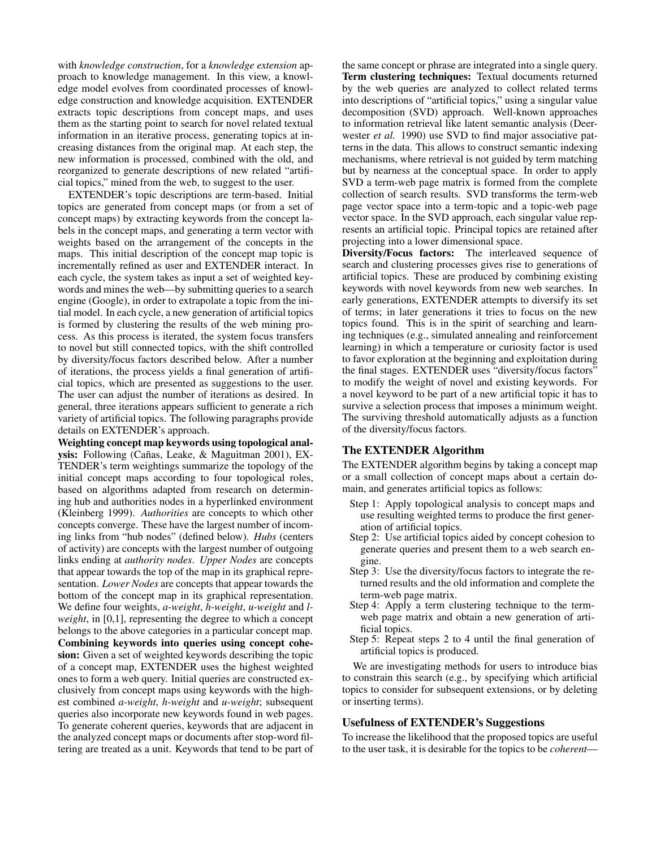with *knowledge construction*, for a *knowledge extension* approach to knowledge management. In this view, a knowledge model evolves from coordinated processes of knowledge construction and knowledge acquisition. EXTENDER extracts topic descriptions from concept maps, and uses them as the starting point to search for novel related textual information in an iterative process, generating topics at increasing distances from the original map. At each step, the new information is processed, combined with the old, and reorganized to generate descriptions of new related "artificial topics," mined from the web, to suggest to the user.

EXTENDER's topic descriptions are term-based. Initial topics are generated from concept maps (or from a set of concept maps) by extracting keywords from the concept labels in the concept maps, and generating a term vector with weights based on the arrangement of the concepts in the maps. This initial description of the concept map topic is incrementally refined as user and EXTENDER interact. In each cycle, the system takes as input a set of weighted keywords and mines the web—by submitting queries to a search engine (Google), in order to extrapolate a topic from the initial model. In each cycle, a new generation of artificial topics is formed by clustering the results of the web mining process. As this process is iterated, the system focus transfers to novel but still connected topics, with the shift controlled by diversity/focus factors described below. After a number of iterations, the process yields a final generation of artificial topics, which are presented as suggestions to the user. The user can adjust the number of iterations as desired. In general, three iterations appears sufficient to generate a rich variety of artificial topics. The following paragraphs provide details on EXTENDER's approach.

**Weighting concept map keywords using topological anal**ysis: Following (Cañas, Leake, & Maguitman 2001), EX-TENDER's term weightings summarize the topology of the initial concept maps according to four topological roles, based on algorithms adapted from research on determining hub and authorities nodes in a hyperlinked environment (Kleinberg 1999). *Authorities* are concepts to which other concepts converge. These have the largest number of incoming links from "hub nodes" (defined below). *Hubs* (centers of activity) are concepts with the largest number of outgoing links ending at *authority nodes*. *Upper Nodes* are concepts that appear towards the top of the map in its graphical representation. *Lower Nodes* are concepts that appear towards the bottom of the concept map in its graphical representation. We define four weights, *a-weight*, *h-weight*, *u-weight* and *lweight*, in [0,1], representing the degree to which a concept belongs to the above categories in a particular concept map. **Combining keywords into queries using concept cohesion:** Given a set of weighted keywords describing the topic of a concept map, EXTENDER uses the highest weighted ones to form a web query. Initial queries are constructed exclusively from concept maps using keywords with the highest combined *a-weight*, *h-weight* and *u-weight*; subsequent queries also incorporate new keywords found in web pages. To generate coherent queries, keywords that are adjacent in the analyzed concept maps or documents after stop-word filtering are treated as a unit. Keywords that tend to be part of the same concept or phrase are integrated into a single query. **Term clustering techniques:** Textual documents returned by the web queries are analyzed to collect related terms into descriptions of "artificial topics," using a singular value decomposition (SVD) approach. Well-known approaches to information retrieval like latent semantic analysis (Deerwester *et al.* 1990) use SVD to find major associative patterns in the data. This allows to construct semantic indexing mechanisms, where retrieval is not guided by term matching but by nearness at the conceptual space. In order to apply SVD a term-web page matrix is formed from the complete collection of search results. SVD transforms the term-web page vector space into a term-topic and a topic-web page vector space. In the SVD approach, each singular value represents an artificial topic. Principal topics are retained after projecting into a lower dimensional space.

**Diversity/Focus factors:** The interleaved sequence of search and clustering processes gives rise to generations of artificial topics. These are produced by combining existing keywords with novel keywords from new web searches. In early generations, EXTENDER attempts to diversify its set of terms; in later generations it tries to focus on the new topics found. This is in the spirit of searching and learning techniques (e.g., simulated annealing and reinforcement learning) in which a temperature or curiosity factor is used to favor exploration at the beginning and exploitation during the final stages. EXTENDER uses "diversity/focus factors" to modify the weight of novel and existing keywords. For a novel keyword to be part of a new artificial topic it has to survive a selection process that imposes a minimum weight. The surviving threshold automatically adjusts as a function of the diversity/focus factors.

## **The EXTENDER Algorithm**

The EXTENDER algorithm begins by taking a concept map or a small collection of concept maps about a certain domain, and generates artificial topics as follows:

- Step 1: Apply topological analysis to concept maps and use resulting weighted terms to produce the first generation of artificial topics.
- Step 2: Use artificial topics aided by concept cohesion to generate queries and present them to a web search engine.
- Step 3: Use the diversity/focus factors to integrate the returned results and the old information and complete the term-web page matrix.
- Step 4: Apply a term clustering technique to the termweb page matrix and obtain a new generation of artificial topics.
- Step 5: Repeat steps 2 to 4 until the final generation of artificial topics is produced.

We are investigating methods for users to introduce bias to constrain this search (e.g., by specifying which artificial topics to consider for subsequent extensions, or by deleting or inserting terms).

#### **Usefulness of EXTENDER's Suggestions**

To increase the likelihood that the proposed topics are useful to the user task, it is desirable for the topics to be *coherent*—